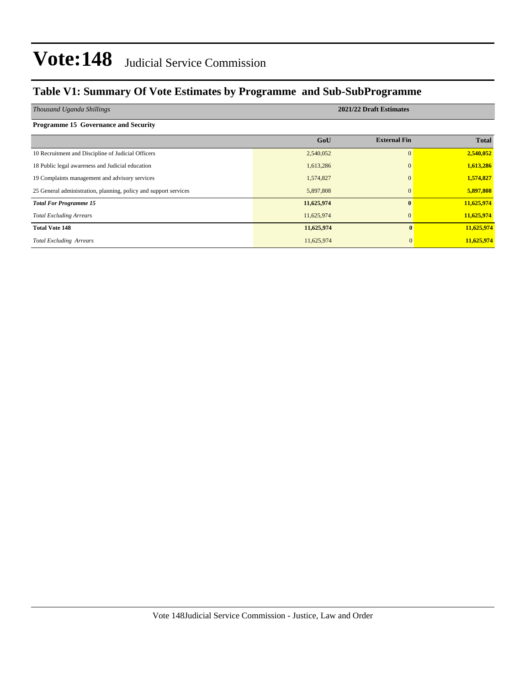### **Table V1: Summary Of Vote Estimates by Programme and Sub-SubProgramme**

| Thousand Uganda Shillings                                        | 2021/22 Draft Estimates |                     |              |  |  |  |  |  |
|------------------------------------------------------------------|-------------------------|---------------------|--------------|--|--|--|--|--|
| Programme 15 Governance and Security                             |                         |                     |              |  |  |  |  |  |
|                                                                  | GoU                     | <b>External Fin</b> | <b>Total</b> |  |  |  |  |  |
| 10 Recruitment and Discipline of Judicial Officers               | 2,540,052               | $\Omega$            | 2,540,052    |  |  |  |  |  |
| 18 Public legal awareness and Judicial education                 | 1,613,286               | $\Omega$            | 1,613,286    |  |  |  |  |  |
| 19 Complaints management and advisory services                   | 1,574,827               | $\Omega$            | 1,574,827    |  |  |  |  |  |
| 25 General administration, planning, policy and support services | 5,897,808               | $\mathbf{0}$        | 5,897,808    |  |  |  |  |  |
| <b>Total For Programme 15</b>                                    | 11,625,974              | 0                   | 11,625,974   |  |  |  |  |  |
| <b>Total Excluding Arrears</b>                                   | 11,625,974              | $\Omega$            | 11,625,974   |  |  |  |  |  |
| <b>Total Vote 148</b>                                            | 11,625,974              | $\mathbf{0}$        | 11,625,974   |  |  |  |  |  |
| <b>Total Excluding Arrears</b>                                   | 11,625,974              |                     | 11,625,974   |  |  |  |  |  |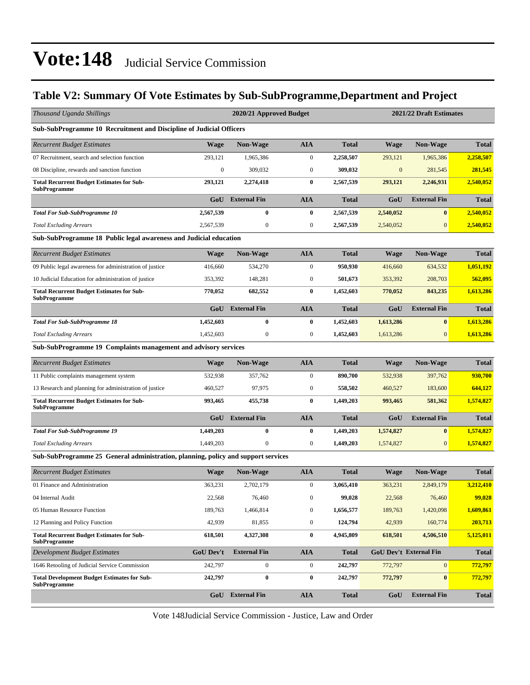### **Table V2: Summary Of Vote Estimates by Sub-SubProgramme,Department and Project**

| Thousand Uganda Shillings                                                         |                  | 2020/21 Approved Budget |                  |              | 2021/22 Draft Estimates |                               |              |  |  |
|-----------------------------------------------------------------------------------|------------------|-------------------------|------------------|--------------|-------------------------|-------------------------------|--------------|--|--|
| Sub-SubProgramme 10 Recruitment and Discipline of Judicial Officers               |                  |                         |                  |              |                         |                               |              |  |  |
| <b>Recurrent Budget Estimates</b>                                                 | <b>Wage</b>      | <b>Non-Wage</b>         | <b>AIA</b>       | <b>Total</b> | <b>Wage</b>             | <b>Non-Wage</b>               | <b>Total</b> |  |  |
| 07 Recruitment, search and selection function                                     | 293,121          | 1,965,386               | $\boldsymbol{0}$ | 2,258,507    | 293,121                 | 1,965,386                     | 2,258,507    |  |  |
| 08 Discipline, rewards and sanction function                                      | $\boldsymbol{0}$ | 309,032                 | $\boldsymbol{0}$ | 309,032      | $\boldsymbol{0}$        | 281,545                       | 281,545      |  |  |
| <b>Total Recurrent Budget Estimates for Sub-</b><br><b>SubProgramme</b>           | 293,121          | 2,274,418               | $\bf{0}$         | 2,567,539    | 293,121                 | 2,246,931                     | 2,540,052    |  |  |
|                                                                                   | GoU              | <b>External Fin</b>     | <b>AIA</b>       | <b>Total</b> | GoU                     | <b>External Fin</b>           | <b>Total</b> |  |  |
| <b>Total For Sub-SubProgramme 10</b>                                              | 2,567,539        | 0                       | $\bf{0}$         | 2,567,539    | 2,540,052               | $\bf{0}$                      | 2,540,052    |  |  |
| <b>Total Excluding Arrears</b>                                                    | 2,567,539        | $\mathbf{0}$            | $\boldsymbol{0}$ | 2,567,539    | 2,540,052               | $\mathbf{0}$                  | 2,540,052    |  |  |
| Sub-SubProgramme 18 Public legal awareness and Judicial education                 |                  |                         |                  |              |                         |                               |              |  |  |
| <b>Recurrent Budget Estimates</b>                                                 | <b>Wage</b>      | <b>Non-Wage</b>         | <b>AIA</b>       | <b>Total</b> | <b>Wage</b>             | <b>Non-Wage</b>               | <b>Total</b> |  |  |
| 09 Public legal awareness for administration of justice                           | 416,660          | 534,270                 | $\boldsymbol{0}$ | 950,930      | 416,660                 | 634,532                       | 1,051,192    |  |  |
| 10 Judicial Education for administration of justice                               | 353.392          | 148,281                 | $\boldsymbol{0}$ | 501,673      | 353,392                 | 208,703                       | 562,095      |  |  |
| <b>Total Recurrent Budget Estimates for Sub-</b><br><b>SubProgramme</b>           | 770,052          | 682,552                 | $\bf{0}$         | 1,452,603    | 770,052                 | 843,235                       | 1,613,286    |  |  |
|                                                                                   | GoU              | <b>External Fin</b>     | <b>AIA</b>       | <b>Total</b> | GoU                     | <b>External Fin</b>           | <b>Total</b> |  |  |
| <b>Total For Sub-SubProgramme 18</b>                                              | 1,452,603        | $\bf{0}$                | $\bf{0}$         | 1,452,603    | 1,613,286               | $\bf{0}$                      | 1,613,286    |  |  |
| <b>Total Excluding Arrears</b>                                                    | 1,452,603        | $\boldsymbol{0}$        | $\boldsymbol{0}$ | 1,452,603    | 1,613,286               | $\mathbf{0}$                  | 1,613,286    |  |  |
| Sub-SubProgramme 19 Complaints management and advisory services                   |                  |                         |                  |              |                         |                               |              |  |  |
| <b>Recurrent Budget Estimates</b>                                                 | <b>Wage</b>      | <b>Non-Wage</b>         | <b>AIA</b>       | <b>Total</b> | <b>Wage</b>             | <b>Non-Wage</b>               | <b>Total</b> |  |  |
| 11 Public complaints management system                                            | 532,938          | 357,762                 | $\boldsymbol{0}$ | 890,700      | 532,938                 | 397,762                       | 930,700      |  |  |
| 13 Research and planning for administration of justice                            | 460,527          | 97,975                  | $\boldsymbol{0}$ | 558,502      | 460,527                 | 183,600                       | 644,127      |  |  |
| <b>Total Recurrent Budget Estimates for Sub-</b><br><b>SubProgramme</b>           | 993,465          | 455,738                 | $\bf{0}$         | 1,449,203    | 993,465                 | 581,362                       | 1,574,827    |  |  |
|                                                                                   | GoU              | <b>External Fin</b>     | <b>AIA</b>       | <b>Total</b> | GoU                     | <b>External Fin</b>           | <b>Total</b> |  |  |
| <b>Total For Sub-SubProgramme 19</b>                                              | 1,449,203        | $\bf{0}$                | $\bf{0}$         | 1,449,203    | 1,574,827               | $\bf{0}$                      | 1,574,827    |  |  |
| <b>Total Excluding Arrears</b>                                                    | 1,449,203        | $\mathbf{0}$            | $\boldsymbol{0}$ | 1,449,203    | 1,574,827               | $\mathbf{0}$                  | 1,574,827    |  |  |
| Sub-SubProgramme 25 General administration, planning, policy and support services |                  |                         |                  |              |                         |                               |              |  |  |
| <b>Recurrent Budget Estimates</b>                                                 | <b>Wage</b>      | <b>Non-Wage</b>         | <b>AIA</b>       | <b>Total</b> | <b>Wage</b>             | <b>Non-Wage</b>               | <b>Total</b> |  |  |
| 01 Finance and Administration                                                     | 363,231          | 2,702,179               | $\boldsymbol{0}$ | 3,065,410    | 363,231                 | 2,849,179                     | 3,212,410    |  |  |
| 04 Internal Audit                                                                 | 22,568           | 76,460                  | $\boldsymbol{0}$ | 99,028       | 22,568                  | 76,460                        | 99,028       |  |  |
| 05 Human Resource Function                                                        | 189,763          | 1,466,814               | $\boldsymbol{0}$ | 1,656,577    | 189,763                 | 1,420,098                     | 1,609,861    |  |  |
| 12 Planning and Policy Function                                                   | 42,939           | 81,855                  | $\boldsymbol{0}$ | 124,794      | 42,939                  | 160,774                       | 203,713      |  |  |
| <b>Total Recurrent Budget Estimates for Sub-</b><br><b>SubProgramme</b>           | 618,501          | 4,327,308               | $\bf{0}$         | 4,945,809    | 618,501                 | 4,506,510                     | 5,125,011    |  |  |
| <b>Development Budget Estimates</b>                                               | <b>GoU Dev't</b> | <b>External Fin</b>     | <b>AIA</b>       | <b>Total</b> |                         | <b>GoU Dev't External Fin</b> | <b>Total</b> |  |  |
| 1646 Retooling of Judicial Service Commission                                     | 242,797          | $\overline{0}$          | $\boldsymbol{0}$ | 242,797      | 772,797                 | $\mathbf{0}$                  | 772,797      |  |  |
| <b>Total Development Budget Estimates for Sub-</b><br><b>SubProgramme</b>         | 242,797          | $\pmb{0}$               | $\pmb{0}$        | 242,797      | 772,797                 | $\boldsymbol{0}$              | 772,797      |  |  |
|                                                                                   |                  | <b>GoU</b> External Fin | <b>AIA</b>       | <b>Total</b> | GoU                     | <b>External Fin</b>           | <b>Total</b> |  |  |

Vote 148Judicial Service Commission - Justice, Law and Order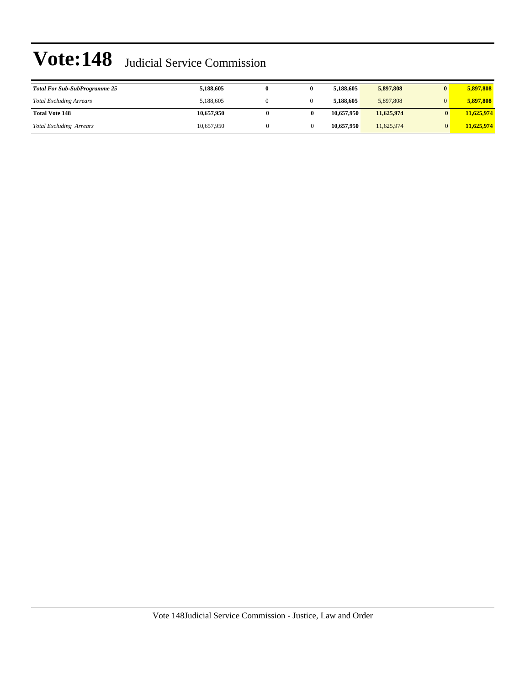| <b>Total For Sub-SubProgramme 25</b> | 5,188,605  |  | 5.188.605  | 5,897,808  | 5.897.808  |
|--------------------------------------|------------|--|------------|------------|------------|
| <b>Total Excluding Arrears</b>       | 5.188,605  |  | 5.188.605  | 5,897,808  | 5.897.808  |
| <b>Total Vote 148</b>                | 10.657.950 |  | 10,657,950 | 11,625,974 | 11,625,974 |
| <b>Total Excluding Arrears</b>       | 10.657.950 |  | 10,657,950 | 11.625.974 | 11,625,974 |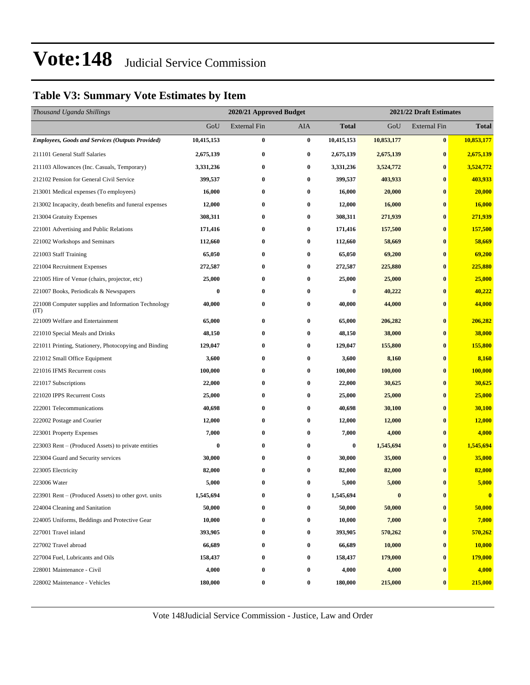### **Table V3: Summary Vote Estimates by Item**

| Thousand Uganda Shillings                                   |            | 2021/22 Draft Estimates<br>2020/21 Approved Budget |          |                  |            |                     |              |
|-------------------------------------------------------------|------------|----------------------------------------------------|----------|------------------|------------|---------------------|--------------|
|                                                             | GoU        | <b>External Fin</b>                                | AIA      | <b>Total</b>     | GoU        | <b>External Fin</b> | <b>Total</b> |
| <b>Employees, Goods and Services (Outputs Provided)</b>     | 10,415,153 | $\bf{0}$                                           | $\bf{0}$ | 10,415,153       | 10,853,177 | $\bf{0}$            | 10,853,177   |
| 211101 General Staff Salaries                               | 2,675,139  | $\bf{0}$                                           | 0        | 2,675,139        | 2,675,139  | $\bf{0}$            | 2,675,139    |
| 211103 Allowances (Inc. Casuals, Temporary)                 | 3,331,236  | $\bf{0}$                                           | $\bf{0}$ | 3,331,236        | 3,524,772  | $\bf{0}$            | 3,524,772    |
| 212102 Pension for General Civil Service                    | 399,537    | $\bf{0}$                                           | $\bf{0}$ | 399,537          | 403,933    | $\bf{0}$            | 403,933      |
| 213001 Medical expenses (To employees)                      | 16,000     | $\bf{0}$                                           | 0        | 16,000           | 20,000     | $\bf{0}$            | 20,000       |
| 213002 Incapacity, death benefits and funeral expenses      | 12,000     | $\bf{0}$                                           | 0        | 12,000           | 16,000     | $\bf{0}$            | 16,000       |
| 213004 Gratuity Expenses                                    | 308,311    | $\bf{0}$                                           | 0        | 308,311          | 271,939    | $\bf{0}$            | 271,939      |
| 221001 Advertising and Public Relations                     | 171,416    | $\bf{0}$                                           | $\bf{0}$ | 171,416          | 157,500    | $\bf{0}$            | 157,500      |
| 221002 Workshops and Seminars                               | 112,660    | $\bf{0}$                                           | $\bf{0}$ | 112,660          | 58,669     | $\bf{0}$            | 58,669       |
| 221003 Staff Training                                       | 65,050     | $\bf{0}$                                           | 0        | 65,050           | 69,200     | $\bf{0}$            | 69,200       |
| 221004 Recruitment Expenses                                 | 272,587    | $\bf{0}$                                           | 0        | 272,587          | 225,880    | $\bf{0}$            | 225,880      |
| 221005 Hire of Venue (chairs, projector, etc)               | 25,000     | $\bf{0}$                                           | 0        | 25,000           | 25,000     | $\bf{0}$            | 25,000       |
| 221007 Books, Periodicals & Newspapers                      | $\bf{0}$   | $\bf{0}$                                           | 0        | $\boldsymbol{0}$ | 40,222     | $\bf{0}$            | 40,222       |
| 221008 Computer supplies and Information Technology<br>(TT) | 40,000     | $\bf{0}$                                           | 0        | 40,000           | 44,000     | $\bf{0}$            | 44,000       |
| 221009 Welfare and Entertainment                            | 65,000     | $\bf{0}$                                           | 0        | 65,000           | 206,282    | $\bf{0}$            | 206,282      |
| 221010 Special Meals and Drinks                             | 48,150     | $\bf{0}$                                           | $\bf{0}$ | 48,150           | 38,000     | $\bf{0}$            | 38,000       |
| 221011 Printing, Stationery, Photocopying and Binding       | 129,047    | $\bf{0}$                                           | $\bf{0}$ | 129,047          | 155,800    | $\bf{0}$            | 155,800      |
| 221012 Small Office Equipment                               | 3,600      | $\bf{0}$                                           | 0        | 3,600            | 8,160      | $\bf{0}$            | 8,160        |
| 221016 IFMS Recurrent costs                                 | 100,000    | $\bf{0}$                                           | 0        | 100,000          | 100,000    | $\bf{0}$            | 100,000      |
| 221017 Subscriptions                                        | 22,000     | $\bf{0}$                                           | 0        | 22,000           | 30,625     | $\bf{0}$            | 30,625       |
| 221020 IPPS Recurrent Costs                                 | 25,000     | $\bf{0}$                                           | $\bf{0}$ | 25,000           | 25,000     | $\bf{0}$            | 25,000       |
| 222001 Telecommunications                                   | 40,698     | $\bf{0}$                                           | 0        | 40,698           | 30,100     | $\bf{0}$            | 30,100       |
| 222002 Postage and Courier                                  | 12,000     | $\bf{0}$                                           | $\bf{0}$ | 12,000           | 12,000     | $\bf{0}$            | 12,000       |
| 223001 Property Expenses                                    | 7,000      | $\bf{0}$                                           | 0        | 7,000            | 4,000      | $\bf{0}$            | 4,000        |
| 223003 Rent – (Produced Assets) to private entities         | $\bf{0}$   | $\bf{0}$                                           | 0        | $\bf{0}$         | 1,545,694  | $\bf{0}$            | 1,545,694    |
| 223004 Guard and Security services                          | 30,000     | $\bf{0}$                                           | 0        | 30,000           | 35,000     | $\bf{0}$            | 35,000       |
| 223005 Electricity                                          | 82,000     | $\bf{0}$                                           | 0        | 82,000           | 82,000     | $\bf{0}$            | 82,000       |
| 223006 Water                                                | 5,000      | $\bf{0}$                                           | 0        | 5,000            | 5,000      | $\bf{0}$            | 5,000        |
| 223901 Rent – (Produced Assets) to other govt. units        | 1,545,694  | 0                                                  | $\bf{0}$ | 1,545,694        | $\bf{0}$   | $\bf{0}$            | $\bf{0}$     |
| 224004 Cleaning and Sanitation                              | 50,000     | 0                                                  | 0        | 50,000           | 50,000     | $\pmb{0}$           | 50,000       |
| 224005 Uniforms, Beddings and Protective Gear               | 10,000     | $\bf{0}$                                           | 0        | 10,000           | 7,000      | $\bf{0}$            | 7,000        |
| 227001 Travel inland                                        | 393,905    | $\bf{0}$                                           | $\bf{0}$ | 393,905          | 570,262    | $\bf{0}$            | 570,262      |
| 227002 Travel abroad                                        | 66,689     | $\bf{0}$                                           | $\bf{0}$ | 66,689           | 10,000     | $\bf{0}$            | 10,000       |
| 227004 Fuel, Lubricants and Oils                            | 158,437    | 0                                                  | 0        | 158,437          | 179,000    | $\bf{0}$            | 179,000      |
| 228001 Maintenance - Civil                                  | 4,000      | $\bf{0}$                                           | 0        | 4,000            | 4,000      | $\pmb{0}$           | 4,000        |
| 228002 Maintenance - Vehicles                               | 180,000    | $\bf{0}$                                           | 0        | 180,000          | 215,000    | $\bf{0}$            | 215,000      |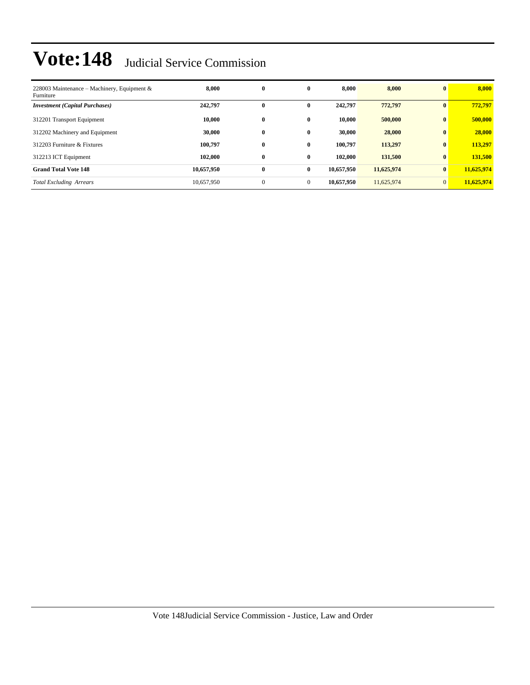| 228003 Maintenance – Machinery, Equipment &<br>Furniture | 8.000      | $\bf{0}$     | $\bf{0}$     | 8.000      | 8,000      | $\bf{0}$       | 8,000      |
|----------------------------------------------------------|------------|--------------|--------------|------------|------------|----------------|------------|
| <b>Investment</b> (Capital Purchases)                    | 242,797    | $\bf{0}$     | $\mathbf{0}$ | 242,797    | 772,797    | $\mathbf{0}$   | 772.797    |
| 312201 Transport Equipment                               | 10,000     | $\bf{0}$     | $\bf{0}$     | 10.000     | 500,000    | $\bf{0}$       | 500,000    |
| 312202 Machinery and Equipment                           | 30,000     | $\bf{0}$     | $\mathbf{0}$ | 30,000     | 28,000     | $\bf{0}$       | 28,000     |
| 312203 Furniture & Fixtures                              | 100.797    | $\bf{0}$     | $\mathbf{0}$ | 100.797    | 113,297    | $\bf{0}$       | 113,297    |
| 312213 ICT Equipment                                     | 102,000    | $\bf{0}$     | $\bf{0}$     | 102,000    | 131,500    | $\bf{0}$       | 131,500    |
| <b>Grand Total Vote 148</b>                              | 10,657,950 | $\bf{0}$     | $\bf{0}$     | 10,657,950 | 11,625,974 | $\bf{0}$       | 11,625,974 |
| <b>Total Excluding Arrears</b>                           | 10,657,950 | $\mathbf{0}$ | $\mathbf{0}$ | 10.657.950 | 11,625,974 | $\overline{0}$ | 11,625,974 |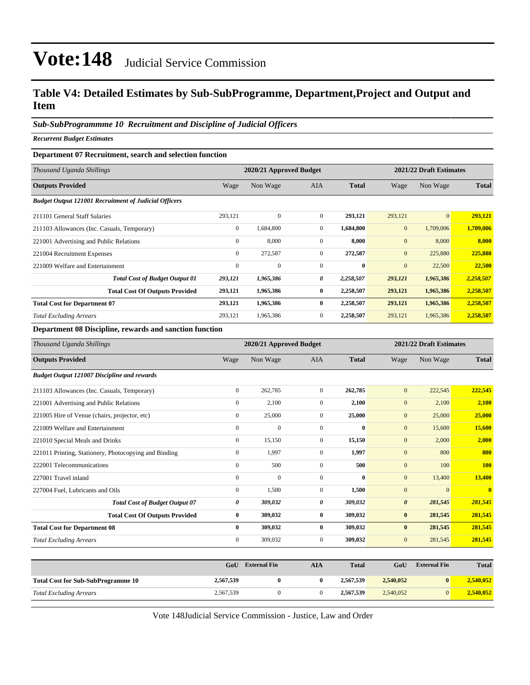### **Table V4: Detailed Estimates by Sub-SubProgramme, Department,Project and Output and Item**

#### *Sub-SubProgrammme 10 Recruitment and Discipline of Judicial Officers*

*Recurrent Budget Estimates*

#### **Department 07 Recruitment, search and selection function**

| Thousand Uganda Shillings                                    |                | 2020/21 Approved Budget |              | 2021/22 Draft Estimates |                |           |              |
|--------------------------------------------------------------|----------------|-------------------------|--------------|-------------------------|----------------|-----------|--------------|
| <b>Outputs Provided</b>                                      | Wage           | Non Wage                | <b>AIA</b>   | <b>Total</b>            | Wage           | Non Wage  | <b>Total</b> |
| <b>Budget Output 121001 Recruitment of Judicial Officers</b> |                |                         |              |                         |                |           |              |
| 211101 General Staff Salaries                                | 293,121        | $\Omega$                | $\Omega$     | 293,121                 | 293,121        | $\Omega$  | 293,121      |
| 211103 Allowances (Inc. Casuals, Temporary)                  | $\mathbf{0}$   | 1,684,800               | $\mathbf{0}$ | 1,684,800               | $\mathbf{0}$   | 1,709,006 | 1,709,006    |
| 221001 Advertising and Public Relations                      | $\mathbf{0}$   | 8,000                   | $\mathbf{0}$ | 8,000                   | $\overline{0}$ | 8,000     | 8,000        |
| 221004 Recruitment Expenses                                  | $\overline{0}$ | 272,587                 | $\mathbf{0}$ | 272,587                 | $\mathbf{0}$   | 225,880   | 225,880      |
| 221009 Welfare and Entertainment                             | $\mathbf{0}$   | $\mathbf{0}$            | $\Omega$     | $\mathbf{0}$            | $\overline{0}$ | 22,500    | 22,500       |
| <b>Total Cost of Budget Output 01</b>                        | 293,121        | 1,965,386               | 0            | 2,258,507               | 293,121        | 1,965,386 | 2,258,507    |
| <b>Total Cost Of Outputs Provided</b>                        | 293,121        | 1,965,386               | $\bf{0}$     | 2,258,507               | 293,121        | 1,965,386 | 2,258,507    |
| <b>Total Cost for Department 07</b>                          | 293,121        | 1,965,386               | $\mathbf{0}$ | 2,258,507               | 293,121        | 1,965,386 | 2,258,507    |
| <b>Total Excluding Arrears</b>                               | 293,121        | 1,965,386               | $\Omega$     | 2,258,507               | 293,121        | 1,965,386 | 2,258,507    |

#### **Department 08 Discipline, rewards and sanction function**

| Thousand Uganda Shillings                             |                  | 2020/21 Approved Budget |                |              | 2021/22 Draft Estimates |                     |              |
|-------------------------------------------------------|------------------|-------------------------|----------------|--------------|-------------------------|---------------------|--------------|
| <b>Outputs Provided</b>                               | Wage             | Non Wage                | <b>AIA</b>     | <b>Total</b> | Wage                    | Non Wage            | <b>Total</b> |
| <b>Budget Output 121007 Discipline and rewards</b>    |                  |                         |                |              |                         |                     |              |
| 211103 Allowances (Inc. Casuals, Temporary)           | $\boldsymbol{0}$ | 262,785                 | $\mathbf{0}$   | 262,785      | $\mathbf{0}$            | 222,545             | 222,545      |
| 221001 Advertising and Public Relations               | $\boldsymbol{0}$ | 2,100                   | $\mathbf{0}$   | 2,100        | $\mathbf{0}$            | 2,100               | 2,100        |
| 221005 Hire of Venue (chairs, projector, etc)         | $\boldsymbol{0}$ | 25,000                  | $\overline{0}$ | 25,000       | $\mathbf{0}$            | 25,000              | 25,000       |
| 221009 Welfare and Entertainment                      | $\overline{0}$   | $\overline{0}$          | $\overline{0}$ | $\bf{0}$     | $\mathbf{0}$            | 15,600              | 15,600       |
| 221010 Special Meals and Drinks                       | $\boldsymbol{0}$ | 15,150                  | $\overline{0}$ | 15,150       | $\mathbf{0}$            | 2,000               | 2,000        |
| 221011 Printing, Stationery, Photocopying and Binding | $\overline{0}$   | 1,997                   | $\overline{0}$ | 1,997        | $\mathbf{0}$            | 800                 | 800          |
| 222001 Telecommunications                             | $\overline{0}$   | 500                     | $\mathbf{0}$   | 500          | $\mathbf{0}$            | 100                 | <b>100</b>   |
| 227001 Travel inland                                  | $\mathbf{0}$     | $\overline{0}$          | $\mathbf{0}$   | $\bf{0}$     | $\mathbf{0}$            | 13,400              | 13,400       |
| 227004 Fuel, Lubricants and Oils                      | $\boldsymbol{0}$ | 1,500                   | $\mathbf{0}$   | 1,500        | $\mathbf{0}$            | $\mathbf{0}$        | $\mathbf{0}$ |
| <b>Total Cost of Budget Output 07</b>                 | 0                | 309,032                 | 0              | 309,032      | $\boldsymbol{\theta}$   | 281,545             | 281,545      |
| <b>Total Cost Of Outputs Provided</b>                 | 0                | 309,032                 | $\bf{0}$       | 309,032      | $\bf{0}$                | 281,545             | 281,545      |
| <b>Total Cost for Department 08</b>                   | $\bf{0}$         | 309,032                 | $\bf{0}$       | 309,032      | $\bf{0}$                | 281,545             | 281,545      |
| <b>Total Excluding Arrears</b>                        | $\overline{0}$   | 309,032                 | $\mathbf{0}$   | 309,032      | $\mathbf{0}$            | 281,545             | 281,545      |
|                                                       |                  |                         |                |              |                         |                     |              |
|                                                       | GoU              | <b>External Fin</b>     | <b>AIA</b>     | <b>Total</b> | GoU                     | <b>External Fin</b> | <b>Total</b> |
| <b>Total Cost for Sub-SubProgramme 10</b>             | 2,567,539        | $\bf{0}$                | $\bf{0}$       | 2,567,539    | 2,540,052               | $\bf{0}$            | 2,540,052    |

Vote 148Judicial Service Commission - Justice, Law and Order

*Total Excluding Arrears* 2,567,539 0 0 **2,567,539** 2,540,052 0 **2,540,052**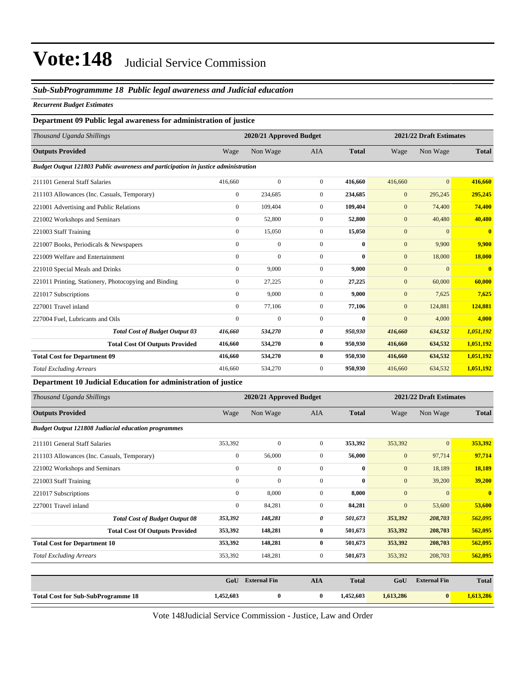#### *Sub-SubProgrammme 18 Public legal awareness and Judicial education*

#### *Recurrent Budget Estimates*

#### **Department 09 Public legal awareness for administration of justice**

| Thousand Uganda Shillings                                                         |                  | 2020/21 Approved Budget |                |              |                | 2021/22 Draft Estimates |                         |
|-----------------------------------------------------------------------------------|------------------|-------------------------|----------------|--------------|----------------|-------------------------|-------------------------|
| <b>Outputs Provided</b>                                                           | Wage             | Non Wage                | <b>AIA</b>     | <b>Total</b> | Wage           | Non Wage                | <b>Total</b>            |
| Budget Output 121803 Public awareness and participation in justice administration |                  |                         |                |              |                |                         |                         |
| 211101 General Staff Salaries                                                     | 416,660          | $\mathbf{0}$            | $\overline{0}$ | 416.660      | 416,660        | $\overline{0}$          | 416,660                 |
| 211103 Allowances (Inc. Casuals, Temporary)                                       | $\boldsymbol{0}$ | 234,685                 | $\mathbf{0}$   | 234,685      | $\mathbf{0}$   | 295,245                 | 295,245                 |
| 221001 Advertising and Public Relations                                           | $\overline{0}$   | 109,404                 | $\overline{0}$ | 109,404      | $\mathbf{0}$   | 74,400                  | 74,400                  |
| 221002 Workshops and Seminars                                                     | $\boldsymbol{0}$ | 52,800                  | $\mathbf{0}$   | 52,800       | $\mathbf{0}$   | 40,480                  | 40,480                  |
| 221003 Staff Training                                                             | $\overline{0}$   | 15,050                  | $\overline{0}$ | 15,050       | $\overline{0}$ | $\overline{0}$          | $\mathbf{0}$            |
| 221007 Books, Periodicals & Newspapers                                            | $\mathbf{0}$     | $\mathbf{0}$            | $\overline{0}$ | $\bf{0}$     | $\mathbf{0}$   | 9,900                   | 9,900                   |
| 221009 Welfare and Entertainment                                                  | $\mathbf{0}$     | $\mathbf{0}$            | $\Omega$       | $\mathbf{0}$ | $\mathbf{0}$   | 18,000                  | 18,000                  |
| 221010 Special Meals and Drinks                                                   | $\boldsymbol{0}$ | 9,000                   | $\mathbf{0}$   | 9,000        | $\mathbf{0}$   | $\Omega$                | $\overline{\mathbf{0}}$ |
| 221011 Printing, Stationery, Photocopying and Binding                             | $\boldsymbol{0}$ | 27,225                  | $\mathbf{0}$   | 27,225       | $\mathbf{0}$   | 60,000                  | 60,000                  |
| 221017 Subscriptions                                                              | $\overline{0}$   | 9,000                   | $\overline{0}$ | 9,000        | $\mathbf{0}$   | 7,625                   | 7,625                   |
| 227001 Travel inland                                                              | $\overline{0}$   | 77,106                  | $\overline{0}$ | 77,106       | $\mathbf{0}$   | 124,881                 | 124,881                 |
| 227004 Fuel, Lubricants and Oils                                                  | $\mathbf{0}$     | $\mathbf{0}$            | $\mathbf{0}$   | $\mathbf{0}$ | $\overline{0}$ | 4,000                   | 4,000                   |
| <b>Total Cost of Budget Output 03</b>                                             | 416,660          | 534,270                 | 0              | 950,930      | 416,660        | 634,532                 | 1,051,192               |
| <b>Total Cost Of Outputs Provided</b>                                             | 416,660          | 534,270                 | $\bf{0}$       | 950,930      | 416,660        | 634,532                 | 1,051,192               |
| <b>Total Cost for Department 09</b>                                               | 416,660          | 534,270                 | $\bf{0}$       | 950,930      | 416,660        | 634,532                 | 1,051,192               |
| <b>Total Excluding Arrears</b>                                                    | 416,660          | 534,270                 | $\mathbf{0}$   | 950,930      | 416,660        | 634,532                 | 1,051,192               |

**Department 10 Judicial Education for administration of justice**

| Thousand Uganda Shillings                                  |              | 2020/21 Approved Budget |                |              |              | 2021/22 Draft Estimates |                         |  |
|------------------------------------------------------------|--------------|-------------------------|----------------|--------------|--------------|-------------------------|-------------------------|--|
| <b>Outputs Provided</b>                                    | Wage         | Non Wage                | <b>AIA</b>     | <b>Total</b> | Wage         | Non Wage                | <b>Total</b>            |  |
| <b>Budget Output 121808 Judiacial education programmes</b> |              |                         |                |              |              |                         |                         |  |
| 211101 General Staff Salaries                              | 353,392      | $\mathbf{0}$            | $\overline{0}$ | 353,392      | 353,392      | $\overline{0}$          | 353,392                 |  |
| 211103 Allowances (Inc. Casuals, Temporary)                | $\mathbf{0}$ | 56,000                  | $\overline{0}$ | 56,000       | $\mathbf{0}$ | 97,714                  | 97,714                  |  |
| 221002 Workshops and Seminars                              | $\mathbf{0}$ | $\mathbf{0}$            | $\overline{0}$ | $\bf{0}$     | $\mathbf{0}$ | 18,189                  | 18,189                  |  |
| 221003 Staff Training                                      | $\mathbf{0}$ | $\mathbf{0}$            | $\mathbf{0}$   | $\bf{0}$     | $\mathbf{0}$ | 39,200                  | 39,200                  |  |
| 221017 Subscriptions                                       | $\mathbf{0}$ | 8,000                   | $\overline{0}$ | 8,000        | $\mathbf{0}$ | $\mathbf{0}$            | $\overline{\mathbf{0}}$ |  |
| 227001 Travel inland                                       | $\mathbf{0}$ | 84,281                  | $\overline{0}$ | 84,281       | $\mathbf{0}$ | 53,600                  | 53,600                  |  |
| <b>Total Cost of Budget Output 08</b>                      | 353,392      | 148,281                 | 0              | 501,673      | 353,392      | 208,703                 | 562,095                 |  |
| <b>Total Cost Of Outputs Provided</b>                      | 353,392      | 148,281                 | $\bf{0}$       | 501,673      | 353,392      | 208,703                 | 562,095                 |  |
| <b>Total Cost for Department 10</b>                        | 353,392      | 148,281                 | $\bf{0}$       | 501,673      | 353,392      | 208,703                 | 562,095                 |  |
| <b>Total Excluding Arrears</b>                             | 353,392      | 148,281                 | $\overline{0}$ | 501,673      | 353,392      | 208,703                 | 562,095                 |  |
|                                                            |              |                         |                |              |              |                         |                         |  |
|                                                            | GoU          | <b>External Fin</b>     | <b>AIA</b>     | <b>Total</b> | GoU          | <b>External Fin</b>     | <b>Total</b>            |  |
| <b>Total Cost for Sub-SubProgramme 18</b>                  | 1,452,603    | $\bf{0}$                | $\bf{0}$       | 1,452,603    | 1,613,286    | $\vert 0 \vert$         | 1,613,286               |  |

Vote 148Judicial Service Commission - Justice, Law and Order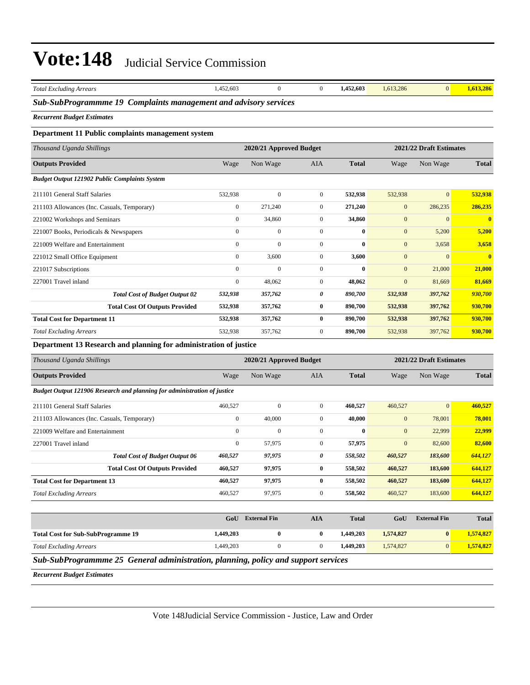| <b>Total Excluding Arrears</b>                                                     | 1,452,603        | $\boldsymbol{0}$        | $\mathbf{0}$     | 1,452,603    | 1,613,286    | $\mathbf{0}$            | 1,613,286      |
|------------------------------------------------------------------------------------|------------------|-------------------------|------------------|--------------|--------------|-------------------------|----------------|
| Sub-SubProgrammme 19 Complaints management and advisory services                   |                  |                         |                  |              |              |                         |                |
| <b>Recurrent Budget Estimates</b>                                                  |                  |                         |                  |              |              |                         |                |
| Department 11 Public complaints management system                                  |                  |                         |                  |              |              |                         |                |
| Thousand Uganda Shillings                                                          |                  | 2020/21 Approved Budget |                  |              |              | 2021/22 Draft Estimates |                |
| <b>Outputs Provided</b>                                                            | Wage             | Non Wage                | AIA              | <b>Total</b> | Wage         | Non Wage                | <b>Total</b>   |
| <b>Budget Output 121902 Public Complaints System</b>                               |                  |                         |                  |              |              |                         |                |
| 211101 General Staff Salaries                                                      | 532,938          | $\mathbf{0}$            | $\boldsymbol{0}$ | 532,938      | 532,938      | $\mathbf{0}$            | 532,938        |
| 211103 Allowances (Inc. Casuals, Temporary)                                        | $\boldsymbol{0}$ | 271,240                 | $\boldsymbol{0}$ | 271,240      | $\mathbf{0}$ | 286,235                 | 286,235        |
| 221002 Workshops and Seminars                                                      | $\boldsymbol{0}$ | 34,860                  | $\boldsymbol{0}$ | 34,860       | $\mathbf{0}$ | $\mathbf{0}$            | $\mathbf{0}$   |
| 221007 Books, Periodicals & Newspapers                                             | $\boldsymbol{0}$ | $\mathbf{0}$            | $\boldsymbol{0}$ | $\bf{0}$     | $\mathbf{0}$ | 5,200                   | 5,200          |
| 221009 Welfare and Entertainment                                                   | $\boldsymbol{0}$ | $\mathbf{0}$            | $\boldsymbol{0}$ | 0            | $\mathbf{0}$ | 3,658                   | 3,658          |
| 221012 Small Office Equipment                                                      | $\boldsymbol{0}$ | 3,600                   | $\boldsymbol{0}$ | 3,600        | $\mathbf{0}$ | $\mathbf{0}$            | $\bf{0}$       |
| 221017 Subscriptions                                                               | $\boldsymbol{0}$ | $\boldsymbol{0}$        | $\boldsymbol{0}$ | 0            | $\mathbf{0}$ | 21,000                  | 21,000         |
| 227001 Travel inland                                                               | $\mathbf{0}$     | 48,062                  | $\boldsymbol{0}$ | 48,062       | $\mathbf{0}$ | 81,669                  | 81,669         |
| <b>Total Cost of Budget Output 02</b>                                              | 532,938          | 357,762                 | 0                | 890,700      | 532,938      | 397,762                 | 930,700        |
| <b>Total Cost Of Outputs Provided</b>                                              | 532,938          | 357,762                 | $\bf{0}$         | 890,700      | 532,938      | 397,762                 | 930,700        |
| <b>Total Cost for Department 11</b>                                                | 532,938          | 357,762                 | $\bf{0}$         | 890,700      | 532,938      | 397,762                 | 930,700        |
| <b>Total Excluding Arrears</b>                                                     | 532,938          | 357,762                 | $\boldsymbol{0}$ | 890,700      | 532,938      | 397,762                 | 930,700        |
| Department 13 Research and planning for administration of justice                  |                  |                         |                  |              |              |                         |                |
| Thousand Uganda Shillings                                                          |                  | 2020/21 Approved Budget |                  |              |              | 2021/22 Draft Estimates |                |
| <b>Outputs Provided</b>                                                            | Wage             | Non Wage                | AIA              | <b>Total</b> | Wage         | Non Wage                | <b>Total</b>   |
| <b>Budget Output 121906 Research and planning for administration of justice</b>    |                  |                         |                  |              |              |                         |                |
| 211101 General Staff Salaries                                                      | 460,527          | $\mathbf{0}$            | $\boldsymbol{0}$ | 460,527      | 460,527      | $\mathbf{0}$            | 460,527        |
| 211103 Allowances (Inc. Casuals, Temporary)                                        | $\boldsymbol{0}$ | 40,000                  | $\boldsymbol{0}$ | 40,000       | $\mathbf{0}$ | 78,001                  | 78,001         |
| 221009 Welfare and Entertainment                                                   | $\boldsymbol{0}$ | $\boldsymbol{0}$        | $\boldsymbol{0}$ | 0            | $\mathbf{0}$ | 22,999                  | 22,999         |
| 227001 Travel inland                                                               | $\boldsymbol{0}$ | 57,975                  | $\boldsymbol{0}$ | 57,975       | $\mathbf{0}$ | 82,600                  | 82,600         |
| <b>Total Cost of Budget Output 06</b>                                              | 460,527          | 97,975                  | 0                | 558,502      | 460,527      | 183,600                 | 644,127        |
| <b>Total Cost Of Outputs Provided</b>                                              | 460,527          | 97,975                  | 0                | 558,502      | 460,527      | 183,600                 | <b>644,127</b> |
| <b>Total Cost for Department 13</b>                                                | 460,527          | 97,975                  | $\bf{0}$         | 558,502      | 460,527      | 183,600                 | 644,127        |
| <b>Total Excluding Arrears</b>                                                     | 460,527          | 97,975                  | $\boldsymbol{0}$ | 558,502      | 460,527      | 183,600                 | 644,127        |
|                                                                                    |                  |                         |                  |              |              |                         |                |
|                                                                                    | GoU              | <b>External Fin</b>     | <b>AIA</b>       | <b>Total</b> | GoU          | <b>External Fin</b>     | <b>Total</b>   |
| <b>Total Cost for Sub-SubProgramme 19</b>                                          | 1,449,203        | $\bf{0}$                | $\bf{0}$         | 1,449,203    | 1,574,827    | $\boldsymbol{0}$        | 1,574,827      |
| <b>Total Excluding Arrears</b>                                                     | 1,449,203        | $\boldsymbol{0}$        | $\boldsymbol{0}$ | 1,449,203    | 1,574,827    | $\mathbf{0}$            | 1,574,827      |
| Sub-SubProgrammme 25 General administration, planning, policy and support services |                  |                         |                  |              |              |                         |                |
| <b>Recurrent Budget Estimates</b>                                                  |                  |                         |                  |              |              |                         |                |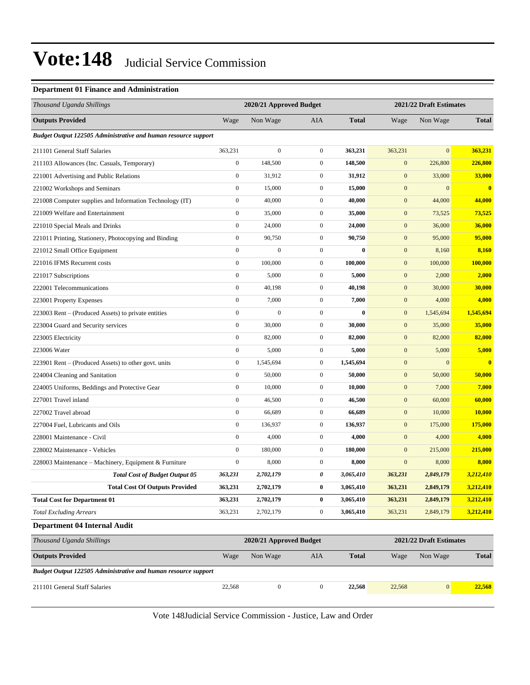#### **Department 01 Finance and Administration**

| Thousand Uganda Shillings                                             |                  | 2020/21 Approved Budget |                  |              |                         | 2021/22 Draft Estimates |              |
|-----------------------------------------------------------------------|------------------|-------------------------|------------------|--------------|-------------------------|-------------------------|--------------|
| <b>Outputs Provided</b>                                               | Wage             | Non Wage                | AIA              | <b>Total</b> | Wage                    | Non Wage                | <b>Total</b> |
| Budget Output 122505 Administrative and human resource support        |                  |                         |                  |              |                         |                         |              |
| 211101 General Staff Salaries                                         | 363,231          | $\overline{0}$          | $\boldsymbol{0}$ | 363,231      | 363,231                 | $\overline{0}$          | 363,231      |
| 211103 Allowances (Inc. Casuals, Temporary)                           | $\boldsymbol{0}$ | 148,500                 | $\boldsymbol{0}$ | 148,500      | $\mathbf{0}$            | 226,800                 | 226,800      |
| 221001 Advertising and Public Relations                               | $\boldsymbol{0}$ | 31,912                  | $\boldsymbol{0}$ | 31,912       | $\mathbf{0}$            | 33,000                  | 33,000       |
| 221002 Workshops and Seminars                                         | $\boldsymbol{0}$ | 15,000                  | $\boldsymbol{0}$ | 15,000       | $\mathbf{0}$            | $\boldsymbol{0}$        | $\bf{0}$     |
| 221008 Computer supplies and Information Technology (IT)              | $\boldsymbol{0}$ | 40,000                  | $\boldsymbol{0}$ | 40,000       | $\mathbf{0}$            | 44,000                  | 44,000       |
| 221009 Welfare and Entertainment                                      | $\boldsymbol{0}$ | 35,000                  | $\boldsymbol{0}$ | 35,000       | $\mathbf{0}$            | 73,525                  | 73,525       |
| 221010 Special Meals and Drinks                                       | $\boldsymbol{0}$ | 24,000                  | $\boldsymbol{0}$ | 24,000       | $\boldsymbol{0}$        | 36,000                  | 36,000       |
| 221011 Printing, Stationery, Photocopying and Binding                 | $\boldsymbol{0}$ | 90,750                  | $\boldsymbol{0}$ | 90,750       | $\mathbf{0}$            | 95,000                  | 95,000       |
| 221012 Small Office Equipment                                         | $\boldsymbol{0}$ | $\boldsymbol{0}$        | $\boldsymbol{0}$ | $\bf{0}$     | $\mathbf{0}$            | 8,160                   | 8,160        |
| 221016 IFMS Recurrent costs                                           | $\boldsymbol{0}$ | 100,000                 | $\boldsymbol{0}$ | 100.000      | $\mathbf{0}$            | 100,000                 | 100,000      |
| 221017 Subscriptions                                                  | $\boldsymbol{0}$ | 5,000                   | $\boldsymbol{0}$ | 5,000        | $\mathbf{0}$            | 2,000                   | 2,000        |
| 222001 Telecommunications                                             | $\boldsymbol{0}$ | 40,198                  | $\boldsymbol{0}$ | 40,198       | $\boldsymbol{0}$        | 30,000                  | 30,000       |
| 223001 Property Expenses                                              | $\boldsymbol{0}$ | 7,000                   | $\boldsymbol{0}$ | 7,000        | $\mathbf{0}$            | 4,000                   | 4,000        |
| 223003 Rent – (Produced Assets) to private entities                   | $\boldsymbol{0}$ | $\boldsymbol{0}$        | $\overline{0}$   | $\bf{0}$     | $\mathbf{0}$            | 1,545,694               | 1,545,694    |
| 223004 Guard and Security services                                    | $\boldsymbol{0}$ | 30,000                  | $\boldsymbol{0}$ | 30,000       | $\mathbf{0}$            | 35,000                  | 35,000       |
| 223005 Electricity                                                    | $\boldsymbol{0}$ | 82,000                  | $\boldsymbol{0}$ | 82,000       | $\mathbf{0}$            | 82,000                  | 82,000       |
| 223006 Water                                                          | $\boldsymbol{0}$ | 5,000                   | $\boldsymbol{0}$ | 5,000        | $\boldsymbol{0}$        | 5,000                   | 5,000        |
| 223901 Rent – (Produced Assets) to other govt. units                  | $\boldsymbol{0}$ | 1,545,694               | $\boldsymbol{0}$ | 1,545,694    | $\mathbf{0}$            | $\boldsymbol{0}$        | $\bf{0}$     |
| 224004 Cleaning and Sanitation                                        | $\boldsymbol{0}$ | 50,000                  | $\boldsymbol{0}$ | 50,000       | $\mathbf{0}$            | 50,000                  | 50,000       |
| 224005 Uniforms, Beddings and Protective Gear                         | $\boldsymbol{0}$ | 10,000                  | $\boldsymbol{0}$ | 10,000       | $\mathbf{0}$            | 7,000                   | 7,000        |
| 227001 Travel inland                                                  | $\boldsymbol{0}$ | 46,500                  | $\boldsymbol{0}$ | 46,500       | $\mathbf{0}$            | 60,000                  | 60,000       |
| 227002 Travel abroad                                                  | $\boldsymbol{0}$ | 66,689                  | $\boldsymbol{0}$ | 66,689       | $\boldsymbol{0}$        | 10,000                  | 10,000       |
| 227004 Fuel, Lubricants and Oils                                      | $\boldsymbol{0}$ | 136,937                 | $\boldsymbol{0}$ | 136,937      | $\mathbf{0}$            | 175,000                 | 175,000      |
| 228001 Maintenance - Civil                                            | $\boldsymbol{0}$ | 4,000                   | $\mathbf{0}$     | 4,000        | $\mathbf{0}$            | 4,000                   | 4,000        |
| 228002 Maintenance - Vehicles                                         | $\boldsymbol{0}$ | 180,000                 | $\boldsymbol{0}$ | 180,000      | $\mathbf{0}$            | 215,000                 | 215,000      |
| 228003 Maintenance – Machinery, Equipment & Furniture                 | $\boldsymbol{0}$ | 8,000                   | $\boldsymbol{0}$ | 8,000        | $\boldsymbol{0}$        | 8,000                   | 8,000        |
| <b>Total Cost of Budget Output 05</b>                                 | 363,231          | 2,702,179               | 0                | 3,065,410    | 363,231                 | 2,849,179               | 3,212,410    |
| <b>Total Cost Of Outputs Provided</b>                                 | 363,231          | 2,702,179               | $\bf{0}$         | 3,065,410    | 363,231                 | 2,849,179               | 3,212,410    |
| <b>Total Cost for Department 01</b>                                   | 363,231          | 2,702,179               | 0                | 3,065,410    | 363,231                 | 2,849,179               | 3,212,410    |
| <b>Total Excluding Arrears</b>                                        | 363,231          | 2,702,179               | $\boldsymbol{0}$ | 3,065,410    | 363,231                 | 2,849,179               | 3,212,410    |
| <b>Department 04 Internal Audit</b>                                   |                  |                         |                  |              |                         |                         |              |
| Thousand Uganda Shillings                                             |                  | 2020/21 Approved Budget |                  |              | 2021/22 Draft Estimates |                         |              |
| <b>Outputs Provided</b>                                               | Wage             | Non Wage                | AIA              | <b>Total</b> | Wage                    | Non Wage                | <b>Total</b> |
| <b>Budget Output 122505 Administrative and human resource support</b> |                  |                         |                  |              |                         |                         |              |
| 211101 General Staff Salaries                                         | 22,568           | $\boldsymbol{0}$        | $\boldsymbol{0}$ | 22,568       | 22,568                  | 0                       | 22,568       |

Vote 148Judicial Service Commission - Justice, Law and Order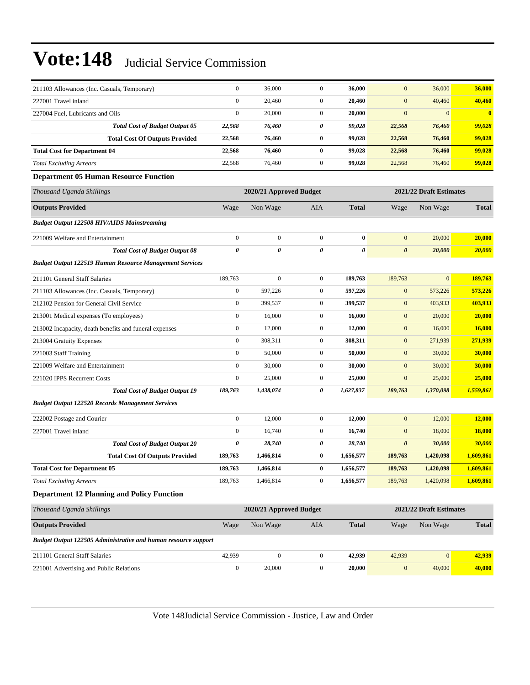| 211103 Allowances (Inc. Casuals, Temporary)                    | $\mathbf{0}$     | 36,000                  | $\mathbf{0}$          | 36,000       | $\mathbf{0}$          | 36,000                  | 36,000       |
|----------------------------------------------------------------|------------------|-------------------------|-----------------------|--------------|-----------------------|-------------------------|--------------|
| 227001 Travel inland                                           | $\boldsymbol{0}$ | 20,460                  | $\mathbf{0}$          | 20,460       | $\mathbf{0}$          | 40,460                  | 40,460       |
| 227004 Fuel, Lubricants and Oils                               | $\boldsymbol{0}$ | 20,000                  | $\mathbf{0}$          | 20,000       | $\boldsymbol{0}$      | $\mathbf{0}$            | $\bf{0}$     |
| <b>Total Cost of Budget Output 05</b>                          | 22,568           | 76,460                  | 0                     | 99,028       | 22,568                | 76,460                  | 99,028       |
| <b>Total Cost Of Outputs Provided</b>                          | 22,568           | 76,460                  | $\bf{0}$              | 99,028       | 22,568                | 76,460                  | 99,028       |
| <b>Total Cost for Department 04</b>                            | 22,568           | 76,460                  | $\bf{0}$              | 99,028       | 22,568                | 76,460                  | 99,028       |
| <b>Total Excluding Arrears</b>                                 | 22,568           | 76,460                  | $\mathbf{0}$          | 99,028       | 22,568                | 76,460                  | 99,028       |
| <b>Department 05 Human Resource Function</b>                   |                  |                         |                       |              |                       |                         |              |
| Thousand Uganda Shillings                                      |                  | 2020/21 Approved Budget |                       |              |                       | 2021/22 Draft Estimates |              |
| <b>Outputs Provided</b>                                        | Wage             | Non Wage                | AIA                   | <b>Total</b> | Wage                  | Non Wage                | <b>Total</b> |
| <b>Budget Output 122508 HIV/AIDS Mainstreaming</b>             |                  |                         |                       |              |                       |                         |              |
| 221009 Welfare and Entertainment                               | $\boldsymbol{0}$ | $\mathbf{0}$            | $\mathbf{0}$          | $\bf{0}$     | $\boldsymbol{0}$      | 20,000                  | 20,000       |
| <b>Total Cost of Budget Output 08</b>                          | $\pmb{\theta}$   | 0                       | $\boldsymbol{\theta}$ | $\theta$     | $\boldsymbol{\theta}$ | 20,000                  | 20,000       |
| <b>Budget Output 122519 Human Resource Management Services</b> |                  |                         |                       |              |                       |                         |              |
| 211101 General Staff Salaries                                  | 189,763          | $\boldsymbol{0}$        | $\mathbf{0}$          | 189,763      | 189,763               | $\mathbf{0}$            | 189,763      |
| 211103 Allowances (Inc. Casuals, Temporary)                    | $\boldsymbol{0}$ | 597,226                 | $\mathbf{0}$          | 597,226      | $\boldsymbol{0}$      | 573,226                 | 573,226      |
| 212102 Pension for General Civil Service                       | $\boldsymbol{0}$ | 399,537                 | $\mathbf{0}$          | 399,537      | $\boldsymbol{0}$      | 403,933                 | 403,933      |
| 213001 Medical expenses (To employees)                         | $\boldsymbol{0}$ | 16,000                  | $\mathbf{0}$          | 16,000       | $\boldsymbol{0}$      | 20,000                  | 20,000       |
| 213002 Incapacity, death benefits and funeral expenses         | $\boldsymbol{0}$ | 12,000                  | $\mathbf{0}$          | 12,000       | $\boldsymbol{0}$      | 16,000                  | 16,000       |
| 213004 Gratuity Expenses                                       | $\boldsymbol{0}$ | 308,311                 | $\mathbf{0}$          | 308,311      | $\boldsymbol{0}$      | 271,939                 | 271,939      |
| 221003 Staff Training                                          | $\boldsymbol{0}$ | 50,000                  | $\mathbf{0}$          | 50,000       | $\boldsymbol{0}$      | 30,000                  | 30,000       |
| 221009 Welfare and Entertainment                               | $\boldsymbol{0}$ | 30,000                  | $\mathbf{0}$          | 30,000       | $\boldsymbol{0}$      | 30,000                  | 30,000       |
| 221020 IPPS Recurrent Costs                                    | $\boldsymbol{0}$ | 25,000                  | $\mathbf{0}$          | 25,000       | $\mathbf{0}$          | 25,000                  | 25,000       |
| <b>Total Cost of Budget Output 19</b>                          | 189,763          | 1,438,074               | 0                     | 1,627,837    | 189,763               | 1,370,098               | 1,559,861    |
| <b>Budget Output 122520 Records Management Services</b>        |                  |                         |                       |              |                       |                         |              |
| 222002 Postage and Courier                                     | $\boldsymbol{0}$ | 12,000                  | $\boldsymbol{0}$      | 12,000       | $\mathbf{0}$          | 12,000                  | 12,000       |
| 227001 Travel inland                                           | $\boldsymbol{0}$ | 16,740                  | $\mathbf{0}$          | 16,740       | $\mathbf{0}$          | 18,000                  | 18,000       |
| <b>Total Cost of Budget Output 20</b>                          | 0                | 28,740                  | 0                     | 28,740       | $\boldsymbol{\theta}$ | 30,000                  | 30,000       |
| <b>Total Cost Of Outputs Provided</b>                          | 189,763          | 1,466,814               | $\bf{0}$              | 1,656,577    | 189,763               | 1,420,098               | 1,609,861    |
| <b>Total Cost for Department 05</b>                            | 189,763          | 1,466,814               | 0                     | 1,656,577    | 189,763               | 1,420,098               | 1,609,861    |
| <b>Total Excluding Arrears</b>                                 | 189,763          | 1,466,814               | $\mathbf{0}$          | 1,656,577    | 189,763               | 1,420,098               | 1,609,861    |
| <b>Department 12 Planning and Policy Function</b>              |                  |                         |                       |              |                       |                         |              |
| Thousand Uganda Shillings                                      |                  | 2020/21 Approved Budget |                       |              |                       | 2021/22 Draft Estimates |              |
| <b>Outputs Provided</b>                                        | Wage             | Non Wage                | AIA                   | <b>Total</b> | Wage                  | Non Wage                | <b>Total</b> |
| Budget Output 122505 Administrative and human resource support |                  |                         |                       |              |                       |                         |              |
| 211101 General Staff Salaries                                  | 42,939           | $\boldsymbol{0}$        | $\boldsymbol{0}$      | 42,939       | 42,939                | $\mathbf{0}$            | 42,939       |
| 221001 Advertising and Public Relations                        | $\boldsymbol{0}$ | 20,000                  | $\boldsymbol{0}$      | 20,000       | $\boldsymbol{0}$      | 40,000                  | 40,000       |